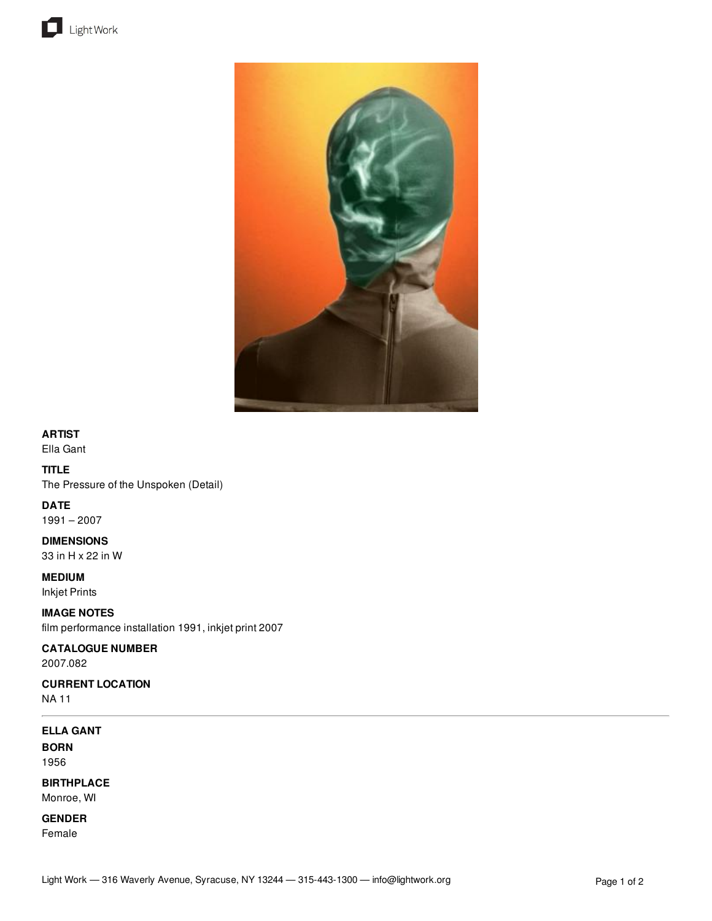



### **ARTIST**

Ella Gant

# **TITLE**

The Pressure of the Unspoken (Detail)

### **DATE**

1991 – 2007

# **DIMENSIONS**

33 in H x 22 in W

**MEDIUM**

Inkjet Prints

# **IMAGE NOTES**

film performance installation 1991, inkjet print 2007

# **CATALOGUE NUMBER**

2007.082

### **CURRENT LOCATION** NA 11

# **ELLA GANT**

**BORN** 1956

# **BIRTHPLACE** Monroe, WI

**GENDER**

Female